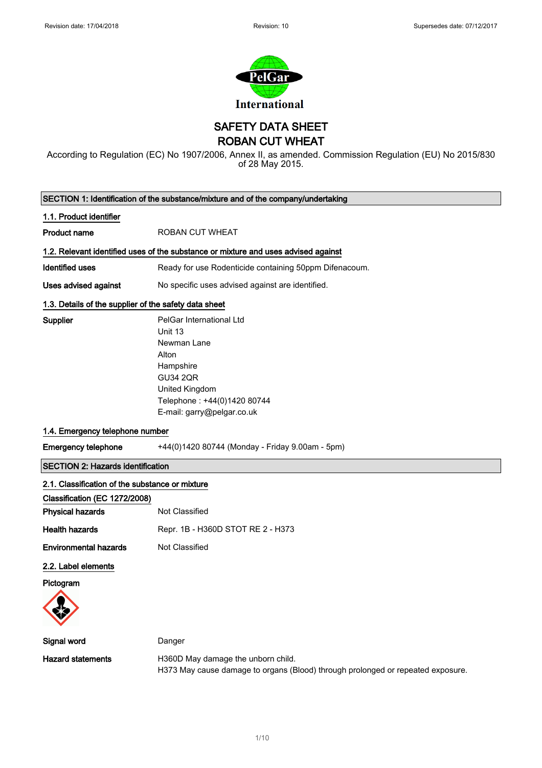

SAFETY DATA SHEET

ROBAN CUT WHEAT

According to Regulation (EC) No 1907/2006, Annex II, as amended. Commission Regulation (EU) No 2015/830 of 28 May 2015.

| SECTION 1: Identification of the substance/mixture and of the company/undertaking |                                                                                                                                                                            |  |  |
|-----------------------------------------------------------------------------------|----------------------------------------------------------------------------------------------------------------------------------------------------------------------------|--|--|
| 1.1. Product identifier                                                           |                                                                                                                                                                            |  |  |
| <b>Product name</b>                                                               | <b>ROBAN CUT WHEAT</b>                                                                                                                                                     |  |  |
|                                                                                   | 1.2. Relevant identified uses of the substance or mixture and uses advised against                                                                                         |  |  |
| <b>Identified uses</b>                                                            | Ready for use Rodenticide containing 50ppm Difenacoum.                                                                                                                     |  |  |
| <b>Uses advised against</b>                                                       | No specific uses advised against are identified.                                                                                                                           |  |  |
| 1.3. Details of the supplier of the safety data sheet                             |                                                                                                                                                                            |  |  |
| Supplier                                                                          | PelGar International Ltd<br>Unit 13<br>Newman Lane<br>Alton<br>Hampshire<br><b>GU34 2QR</b><br>United Kingdom<br>Telephone: +44(0)1420 80744<br>E-mail: garry@pelgar.co.uk |  |  |
| 1.4. Emergency telephone number                                                   |                                                                                                                                                                            |  |  |
| <b>Emergency telephone</b>                                                        | +44(0)1420 80744 (Monday - Friday 9.00am - 5pm)                                                                                                                            |  |  |
| <b>SECTION 2: Hazards identification</b>                                          |                                                                                                                                                                            |  |  |
| 2.1. Classification of the substance or mixture                                   |                                                                                                                                                                            |  |  |
| Classification (EC 1272/2008)                                                     |                                                                                                                                                                            |  |  |
| <b>Physical hazards</b>                                                           | Not Classified                                                                                                                                                             |  |  |
| <b>Health hazards</b>                                                             | Repr. 1B - H360D STOT RE 2 - H373                                                                                                                                          |  |  |
| <b>Environmental hazards</b>                                                      | Not Classified                                                                                                                                                             |  |  |
| 2.2. Label elements                                                               |                                                                                                                                                                            |  |  |
| Pictogram                                                                         |                                                                                                                                                                            |  |  |
|                                                                                   |                                                                                                                                                                            |  |  |
| Signal word                                                                       | Danger                                                                                                                                                                     |  |  |
| <b>Hazard statements</b>                                                          | H360D May damage the unborn child.<br>H373 May cause damage to organs (Blood) through prolonged or repeated exposure.                                                      |  |  |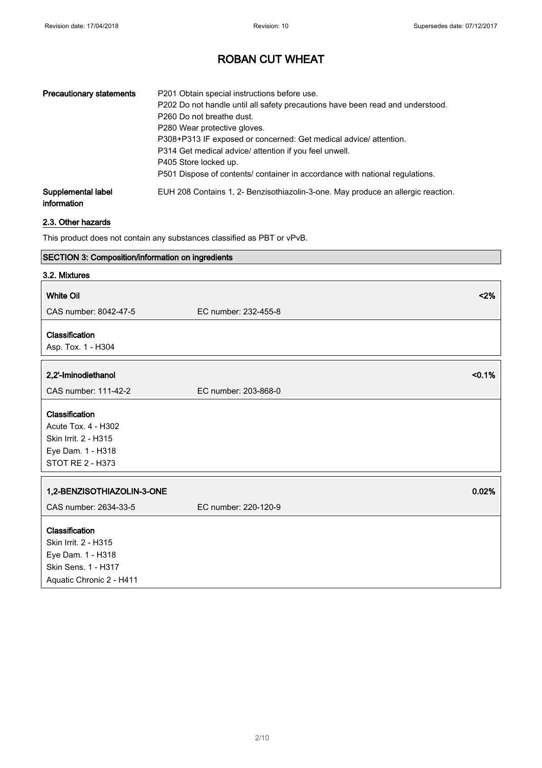| <b>Precautionary statements</b>   | P201 Obtain special instructions before use.<br>P202 Do not handle until all safety precautions have been read and understood.<br>P <sub>260</sub> Do not breathe dust.<br>P280 Wear protective gloves.<br>P308+P313 IF exposed or concerned: Get medical advice/ attention.<br>P314 Get medical advice/ attention if you feel unwell.<br>P405 Store locked up.<br>P501 Dispose of contents/ container in accordance with national regulations. |
|-----------------------------------|-------------------------------------------------------------------------------------------------------------------------------------------------------------------------------------------------------------------------------------------------------------------------------------------------------------------------------------------------------------------------------------------------------------------------------------------------|
| Supplemental label<br>information | EUH 208 Contains 1, 2- Benzisothiazolin-3-one. May produce an allergic reaction.                                                                                                                                                                                                                                                                                                                                                                |

## 2.3. Other hazards

This product does not contain any substances classified as PBT or vPvB.

| SECTION 3: Composition/information on ingredients |                      |        |
|---------------------------------------------------|----------------------|--------|
| 3.2. Mixtures                                     |                      |        |
| <b>White Oil</b>                                  |                      | < 2%   |
| CAS number: 8042-47-5                             | EC number: 232-455-8 |        |
| Classification                                    |                      |        |
| Asp. Tox. 1 - H304                                |                      |        |
|                                                   |                      |        |
| 2,2'-Iminodiethanol                               |                      | < 0.1% |
| CAS number: 111-42-2                              | EC number: 203-868-0 |        |
| Classification                                    |                      |        |
| Acute Tox. 4 - H302                               |                      |        |
| Skin Irrit. 2 - H315                              |                      |        |
| Eye Dam. 1 - H318                                 |                      |        |
| STOT RE 2 - H373                                  |                      |        |
|                                                   |                      |        |
| 1,2-BENZISOTHIAZOLIN-3-ONE                        |                      | 0.02%  |
| CAS number: 2634-33-5                             | EC number: 220-120-9 |        |
| Classification                                    |                      |        |
| Skin Irrit. 2 - H315                              |                      |        |
| Eye Dam. 1 - H318                                 |                      |        |
| Skin Sens. 1 - H317                               |                      |        |
| Aquatic Chronic 2 - H411                          |                      |        |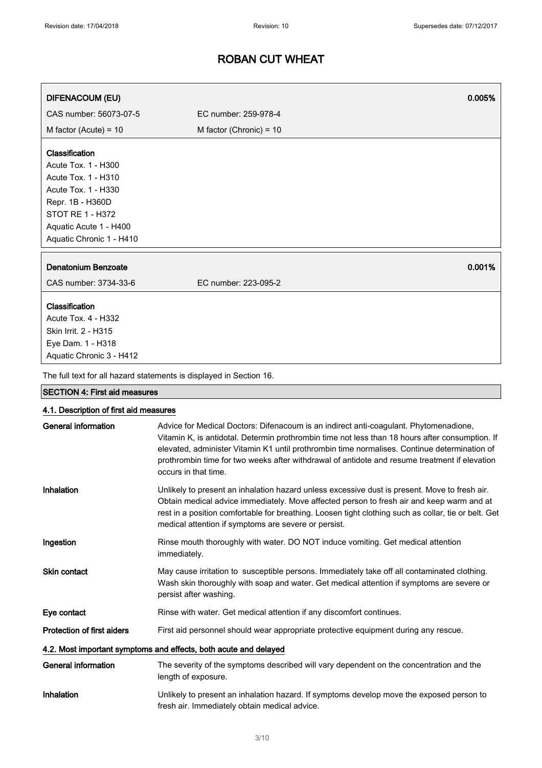| <b>DIFENACOUM (EU)</b>                                                                                                                                                                   | 0.005%                                                                                                                                                                                                                                                                                                                                                                                                            |
|------------------------------------------------------------------------------------------------------------------------------------------------------------------------------------------|-------------------------------------------------------------------------------------------------------------------------------------------------------------------------------------------------------------------------------------------------------------------------------------------------------------------------------------------------------------------------------------------------------------------|
| CAS number: 56073-07-5                                                                                                                                                                   | EC number: 259-978-4                                                                                                                                                                                                                                                                                                                                                                                              |
| M factor (Acute) = $10$                                                                                                                                                                  | M factor (Chronic) = $10$                                                                                                                                                                                                                                                                                                                                                                                         |
| Classification<br>Acute Tox. 1 - H300<br>Acute Tox. 1 - H310<br>Acute Tox. 1 - H330<br>Repr. 1B - H360D<br><b>STOT RE 1 - H372</b><br>Aquatic Acute 1 - H400<br>Aquatic Chronic 1 - H410 |                                                                                                                                                                                                                                                                                                                                                                                                                   |
| Denatonium Benzoate                                                                                                                                                                      | 0.001%                                                                                                                                                                                                                                                                                                                                                                                                            |
| CAS number: 3734-33-6                                                                                                                                                                    | EC number: 223-095-2                                                                                                                                                                                                                                                                                                                                                                                              |
| Classification<br>Acute Tox. 4 - H332<br>Skin Irrit. 2 - H315<br>Eye Dam. 1 - H318<br>Aquatic Chronic 3 - H412                                                                           |                                                                                                                                                                                                                                                                                                                                                                                                                   |
|                                                                                                                                                                                          | The full text for all hazard statements is displayed in Section 16.                                                                                                                                                                                                                                                                                                                                               |
| <b>SECTION 4: First aid measures</b>                                                                                                                                                     |                                                                                                                                                                                                                                                                                                                                                                                                                   |
| 4.1. Description of first aid measures                                                                                                                                                   |                                                                                                                                                                                                                                                                                                                                                                                                                   |
| <b>General information</b>                                                                                                                                                               | Advice for Medical Doctors: Difenacoum is an indirect anti-coagulant. Phytomenadione,<br>Vitamin K, is antidotal. Determin prothrombin time not less than 18 hours after consumption. If<br>elevated, administer Vitamin K1 until prothrombin time normalises. Continue determination of<br>prothrombin time for two weeks after withdrawal of antidote and resume treatment if elevation<br>occurs in that time. |
| Inhalation                                                                                                                                                                               | Unlikely to present an inhalation hazard unless excessive dust is present. Move to fresh air.<br>Obtain medical advice immediately. Move affected person to fresh air and keep warm and at<br>rest in a position comfortable for breathing. Loosen tight clothing such as collar, tie or belt. Get<br>medical attention if symptoms are severe or persist.                                                        |
| Ingestion                                                                                                                                                                                | Rinse mouth thoroughly with water. DO NOT induce vomiting. Get medical attention<br>immediately.                                                                                                                                                                                                                                                                                                                  |
| Skin contact                                                                                                                                                                             | May cause irritation to susceptible persons. Immediately take off all contaminated clothing.<br>Wash skin thoroughly with soap and water. Get medical attention if symptoms are severe or<br>persist after washing.                                                                                                                                                                                               |
| Eye contact                                                                                                                                                                              | Rinse with water. Get medical attention if any discomfort continues.                                                                                                                                                                                                                                                                                                                                              |
| Protection of first aiders                                                                                                                                                               | First aid personnel should wear appropriate protective equipment during any rescue.                                                                                                                                                                                                                                                                                                                               |
|                                                                                                                                                                                          | 4.2. Most important symptoms and effects, both acute and delayed                                                                                                                                                                                                                                                                                                                                                  |
| <b>General information</b>                                                                                                                                                               | The severity of the symptoms described will vary dependent on the concentration and the<br>length of exposure.                                                                                                                                                                                                                                                                                                    |
| Inhalation                                                                                                                                                                               | Unlikely to present an inhalation hazard. If symptoms develop move the exposed person to<br>fresh air. Immediately obtain medical advice.                                                                                                                                                                                                                                                                         |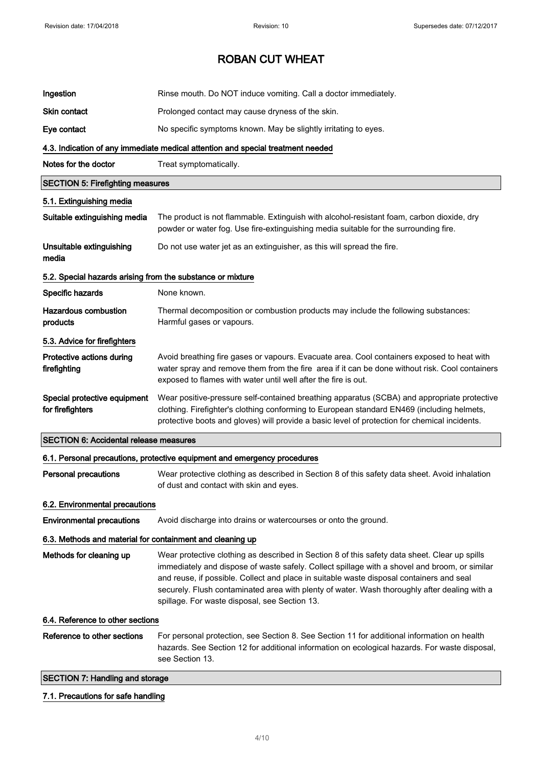| Ingestion                                                  | Rinse mouth. Do NOT induce vomiting. Call a doctor immediately.                                                                                                                                                                                                                                                                                                                                                                             |
|------------------------------------------------------------|---------------------------------------------------------------------------------------------------------------------------------------------------------------------------------------------------------------------------------------------------------------------------------------------------------------------------------------------------------------------------------------------------------------------------------------------|
| Skin contact                                               | Prolonged contact may cause dryness of the skin.                                                                                                                                                                                                                                                                                                                                                                                            |
| Eye contact                                                | No specific symptoms known. May be slightly irritating to eyes.                                                                                                                                                                                                                                                                                                                                                                             |
|                                                            | 4.3. Indication of any immediate medical attention and special treatment needed                                                                                                                                                                                                                                                                                                                                                             |
| Notes for the doctor                                       | Treat symptomatically.                                                                                                                                                                                                                                                                                                                                                                                                                      |
| <b>SECTION 5: Firefighting measures</b>                    |                                                                                                                                                                                                                                                                                                                                                                                                                                             |
| 5.1. Extinguishing media                                   |                                                                                                                                                                                                                                                                                                                                                                                                                                             |
| Suitable extinguishing media                               | The product is not flammable. Extinguish with alcohol-resistant foam, carbon dioxide, dry<br>powder or water fog. Use fire-extinguishing media suitable for the surrounding fire.                                                                                                                                                                                                                                                           |
| Unsuitable extinguishing<br>media                          | Do not use water jet as an extinguisher, as this will spread the fire.                                                                                                                                                                                                                                                                                                                                                                      |
| 5.2. Special hazards arising from the substance or mixture |                                                                                                                                                                                                                                                                                                                                                                                                                                             |
| Specific hazards                                           | None known.                                                                                                                                                                                                                                                                                                                                                                                                                                 |
| <b>Hazardous combustion</b><br>products                    | Thermal decomposition or combustion products may include the following substances:<br>Harmful gases or vapours.                                                                                                                                                                                                                                                                                                                             |
| 5.3. Advice for firefighters                               |                                                                                                                                                                                                                                                                                                                                                                                                                                             |
| Protective actions during<br>firefighting                  | Avoid breathing fire gases or vapours. Evacuate area. Cool containers exposed to heat with<br>water spray and remove them from the fire area if it can be done without risk. Cool containers<br>exposed to flames with water until well after the fire is out.                                                                                                                                                                              |
| Special protective equipment<br>for firefighters           | Wear positive-pressure self-contained breathing apparatus (SCBA) and appropriate protective<br>clothing. Firefighter's clothing conforming to European standard EN469 (including helmets,<br>protective boots and gloves) will provide a basic level of protection for chemical incidents.                                                                                                                                                  |
| <b>SECTION 6: Accidental release measures</b>              |                                                                                                                                                                                                                                                                                                                                                                                                                                             |
|                                                            | 6.1. Personal precautions, protective equipment and emergency procedures                                                                                                                                                                                                                                                                                                                                                                    |
| <b>Personal precautions</b>                                | Wear protective clothing as described in Section 8 of this safety data sheet. Avoid inhalation<br>of dust and contact with skin and eyes.                                                                                                                                                                                                                                                                                                   |
| 6.2. Environmental precautions                             |                                                                                                                                                                                                                                                                                                                                                                                                                                             |
| <b>Environmental precautions</b>                           | Avoid discharge into drains or watercourses or onto the ground.                                                                                                                                                                                                                                                                                                                                                                             |
| 6.3. Methods and material for containment and cleaning up  |                                                                                                                                                                                                                                                                                                                                                                                                                                             |
| Methods for cleaning up                                    | Wear protective clothing as described in Section 8 of this safety data sheet. Clear up spills<br>immediately and dispose of waste safely. Collect spillage with a shovel and broom, or similar<br>and reuse, if possible. Collect and place in suitable waste disposal containers and seal<br>securely. Flush contaminated area with plenty of water. Wash thoroughly after dealing with a<br>spillage. For waste disposal, see Section 13. |
| 6.4. Reference to other sections                           |                                                                                                                                                                                                                                                                                                                                                                                                                                             |
| Reference to other sections                                | For personal protection, see Section 8. See Section 11 for additional information on health<br>hazards. See Section 12 for additional information on ecological hazards. For waste disposal,<br>see Section 13.                                                                                                                                                                                                                             |
| <b>SECTION 7: Handling and storage</b>                     |                                                                                                                                                                                                                                                                                                                                                                                                                                             |

## 7.1. Precautions for safe handling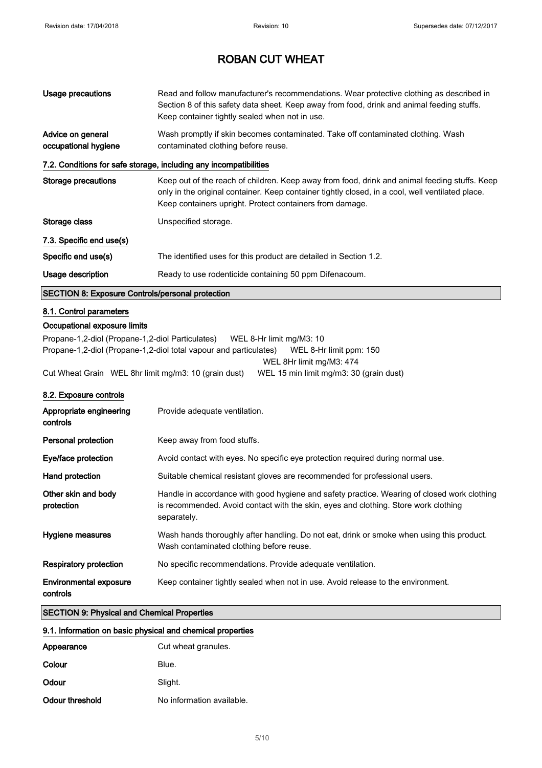| <b>Usage precautions</b>                                   | Read and follow manufacturer's recommendations. Wear protective clothing as described in<br>Section 8 of this safety data sheet. Keep away from food, drink and animal feeding stuffs.<br>Keep container tightly sealed when not in use.                      |  |
|------------------------------------------------------------|---------------------------------------------------------------------------------------------------------------------------------------------------------------------------------------------------------------------------------------------------------------|--|
| Advice on general<br>occupational hygiene                  | Wash promptly if skin becomes contaminated. Take off contaminated clothing. Wash<br>contaminated clothing before reuse.                                                                                                                                       |  |
|                                                            | 7.2. Conditions for safe storage, including any incompatibilities                                                                                                                                                                                             |  |
| <b>Storage precautions</b>                                 | Keep out of the reach of children. Keep away from food, drink and animal feeding stuffs. Keep<br>only in the original container. Keep container tightly closed, in a cool, well ventilated place.<br>Keep containers upright. Protect containers from damage. |  |
| Storage class                                              | Unspecified storage.                                                                                                                                                                                                                                          |  |
| 7.3. Specific end use(s)                                   |                                                                                                                                                                                                                                                               |  |
| Specific end use(s)                                        | The identified uses for this product are detailed in Section 1.2.                                                                                                                                                                                             |  |
| Usage description                                          | Ready to use rodenticide containing 50 ppm Difenacoum.                                                                                                                                                                                                        |  |
| <b>SECTION 8: Exposure Controls/personal protection</b>    |                                                                                                                                                                                                                                                               |  |
| 8.1. Control parameters                                    |                                                                                                                                                                                                                                                               |  |
| Occupational exposure limits                               |                                                                                                                                                                                                                                                               |  |
| Propane-1,2-diol (Propane-1,2-diol Particulates)           | WEL 8-Hr limit mg/M3: 10                                                                                                                                                                                                                                      |  |
|                                                            | Propane-1,2-diol (Propane-1,2-diol total vapour and particulates)<br>WEL 8-Hr limit ppm: 150                                                                                                                                                                  |  |
| Cut Wheat Grain WEL 8hr limit mg/m3: 10 (grain dust)       | WEL 8Hr limit mg/M3: 474<br>WEL 15 min limit mg/m3: 30 (grain dust)                                                                                                                                                                                           |  |
| 8.2. Exposure controls                                     |                                                                                                                                                                                                                                                               |  |
| Appropriate engineering<br>controls                        | Provide adequate ventilation.                                                                                                                                                                                                                                 |  |
| Personal protection                                        | Keep away from food stuffs.                                                                                                                                                                                                                                   |  |
| Eye/face protection                                        | Avoid contact with eyes. No specific eye protection required during normal use.                                                                                                                                                                               |  |
| Hand protection                                            | Suitable chemical resistant gloves are recommended for professional users.                                                                                                                                                                                    |  |
| Other skin and body<br>protection                          | Handle in accordance with good hygiene and safety practice. Wearing of closed work clothing<br>is recommended. Avoid contact with the skin, eyes and clothing. Store work clothing<br>separately.                                                             |  |
| Hygiene measures                                           | Wash hands thoroughly after handling. Do not eat, drink or smoke when using this product.<br>Wash contaminated clothing before reuse.                                                                                                                         |  |
| <b>Respiratory protection</b>                              | No specific recommendations. Provide adequate ventilation.                                                                                                                                                                                                    |  |
| <b>Environmental exposure</b><br>controls                  | Keep container tightly sealed when not in use. Avoid release to the environment.                                                                                                                                                                              |  |
| <b>SECTION 9: Physical and Chemical Properties</b>         |                                                                                                                                                                                                                                                               |  |
| 9.1. Information on basic physical and chemical properties |                                                                                                                                                                                                                                                               |  |
| Appearance                                                 | Cut wheat granules.                                                                                                                                                                                                                                           |  |

| Appearance      | Cut wheat granules.       |
|-----------------|---------------------------|
| Colour          | Blue.                     |
| Odour           | Slight.                   |
| Odour threshold | No information available. |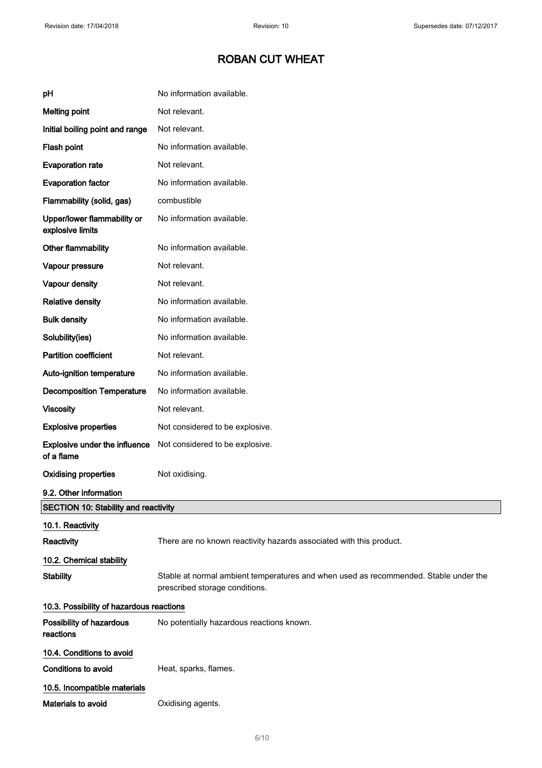# ROBAN CUT WHEAT

| pH                                              | No information available.                                                                                              |  |
|-------------------------------------------------|------------------------------------------------------------------------------------------------------------------------|--|
| <b>Melting point</b>                            | Not relevant.                                                                                                          |  |
| Initial boiling point and range                 | Not relevant.                                                                                                          |  |
| Flash point                                     | No information available.                                                                                              |  |
| <b>Evaporation rate</b>                         | Not relevant.                                                                                                          |  |
| <b>Evaporation factor</b>                       | No information available.                                                                                              |  |
| Flammability (solid, gas)                       | combustible                                                                                                            |  |
| Upper/lower flammability or<br>explosive limits | No information available.                                                                                              |  |
| Other flammability                              | No information available.                                                                                              |  |
| Vapour pressure                                 | Not relevant.                                                                                                          |  |
| Vapour density                                  | Not relevant.                                                                                                          |  |
| <b>Relative density</b>                         | No information available.                                                                                              |  |
| <b>Bulk density</b>                             | No information available.                                                                                              |  |
| Solubility(ies)                                 | No information available.                                                                                              |  |
| <b>Partition coefficient</b>                    | Not relevant.                                                                                                          |  |
| Auto-ignition temperature                       | No information available.                                                                                              |  |
| <b>Decomposition Temperature</b>                | No information available.                                                                                              |  |
| <b>Viscosity</b>                                | Not relevant.                                                                                                          |  |
| <b>Explosive properties</b>                     | Not considered to be explosive.                                                                                        |  |
| Explosive under the influence<br>of a flame     | Not considered to be explosive.                                                                                        |  |
| <b>Oxidising properties</b>                     | Not oxidising.                                                                                                         |  |
| 9.2. Other information                          |                                                                                                                        |  |
| <b>SECTION 10: Stability and reactivity</b>     |                                                                                                                        |  |
| 10.1. Reactivity                                |                                                                                                                        |  |
| Reactivity                                      | There are no known reactivity hazards associated with this product.                                                    |  |
| 10.2. Chemical stability                        |                                                                                                                        |  |
| <b>Stability</b>                                | Stable at normal ambient temperatures and when used as recommended. Stable under the<br>prescribed storage conditions. |  |
| 10.3. Possibility of hazardous reactions        |                                                                                                                        |  |
| Possibility of hazardous<br>reactions           | No potentially hazardous reactions known.                                                                              |  |
| 10.4. Conditions to avoid                       |                                                                                                                        |  |
| <b>Conditions to avoid</b>                      | Heat, sparks, flames.                                                                                                  |  |
| 10.5. Incompatible materials                    |                                                                                                                        |  |
| Materials to avoid                              | Oxidising agents.                                                                                                      |  |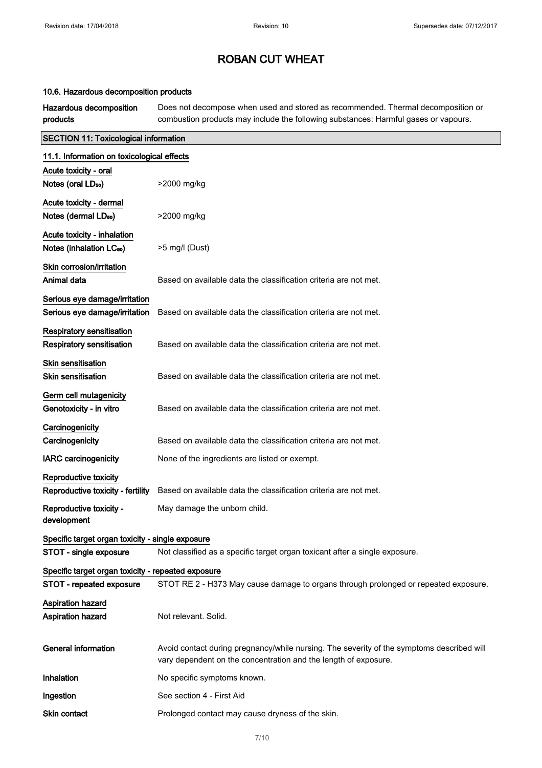### 10.6. Hazardous decomposition products

Hazardous decomposition products Does not decompose when used and stored as recommended. Thermal decomposition or combustion products may include the following substances: Harmful gases or vapours.

| <b>SECTION 11: Toxicological information</b>       |                                                                                           |  |
|----------------------------------------------------|-------------------------------------------------------------------------------------------|--|
| 11.1. Information on toxicological effects         |                                                                                           |  |
| Acute toxicity - oral                              |                                                                                           |  |
| Notes (oral LD <sub>50</sub> )                     | >2000 mg/kg                                                                               |  |
| Acute toxicity - dermal                            |                                                                                           |  |
| Notes (dermal LD <sub>50</sub> )                   | >2000 mg/kg                                                                               |  |
| Acute toxicity - inhalation                        |                                                                                           |  |
| Notes (inhalation LC <sub>50</sub> )               | >5 mg/l (Dust)                                                                            |  |
| Skin corrosion/irritation                          |                                                                                           |  |
| Animal data                                        | Based on available data the classification criteria are not met.                          |  |
| Serious eye damage/irritation                      |                                                                                           |  |
| Serious eye damage/irritation                      | Based on available data the classification criteria are not met.                          |  |
| <b>Respiratory sensitisation</b>                   |                                                                                           |  |
| <b>Respiratory sensitisation</b>                   | Based on available data the classification criteria are not met.                          |  |
| <b>Skin sensitisation</b>                          |                                                                                           |  |
| <b>Skin sensitisation</b>                          | Based on available data the classification criteria are not met.                          |  |
| Germ cell mutagenicity                             |                                                                                           |  |
| Genotoxicity - in vitro                            | Based on available data the classification criteria are not met.                          |  |
| Carcinogenicity                                    |                                                                                           |  |
| Carcinogenicity                                    | Based on available data the classification criteria are not met.                          |  |
| <b>IARC</b> carcinogenicity                        | None of the ingredients are listed or exempt.                                             |  |
| Reproductive toxicity                              |                                                                                           |  |
| Reproductive toxicity - fertility                  | Based on available data the classification criteria are not met.                          |  |
| Reproductive toxicity -                            | May damage the unborn child.                                                              |  |
| development                                        |                                                                                           |  |
| Specific target organ toxicity - single exposure   |                                                                                           |  |
| STOT - single exposure                             | Not classified as a specific target organ toxicant after a single exposure.               |  |
| Specific target organ toxicity - repeated exposure |                                                                                           |  |
| STOT - repeated exposure                           | STOT RE 2 - H373 May cause damage to organs through prolonged or repeated exposure.       |  |
| <b>Aspiration hazard</b>                           |                                                                                           |  |
| <b>Aspiration hazard</b>                           | Not relevant. Solid.                                                                      |  |
| <b>General information</b>                         | Avoid contact during pregnancy/while nursing. The severity of the symptoms described will |  |
|                                                    | vary dependent on the concentration and the length of exposure.                           |  |
| Inhalation                                         | No specific symptoms known.                                                               |  |
| Ingestion                                          | See section 4 - First Aid                                                                 |  |
| Skin contact                                       | Prolonged contact may cause dryness of the skin.                                          |  |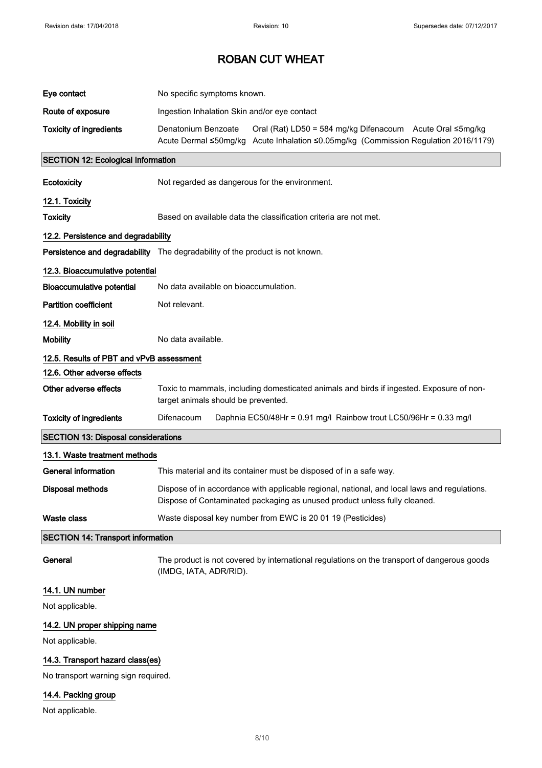| Eye contact                                | No specific symptoms known.                                                                                                                                               |  |
|--------------------------------------------|---------------------------------------------------------------------------------------------------------------------------------------------------------------------------|--|
| Route of exposure                          | Ingestion Inhalation Skin and/or eye contact                                                                                                                              |  |
| <b>Toxicity of ingredients</b>             | Denatonium Benzoate<br>Oral (Rat) LD50 = 584 mg/kg Difenacoum Acute Oral ≤5mg/kg<br>Acute Dermal ≤50mg/kg Acute Inhalation ≤0.05mg/kg (Commission Regulation 2016/1179)   |  |
| <b>SECTION 12: Ecological Information</b>  |                                                                                                                                                                           |  |
| Ecotoxicity                                | Not regarded as dangerous for the environment.                                                                                                                            |  |
| 12.1. Toxicity                             |                                                                                                                                                                           |  |
| <b>Toxicity</b>                            | Based on available data the classification criteria are not met.                                                                                                          |  |
| 12.2. Persistence and degradability        |                                                                                                                                                                           |  |
|                                            | Persistence and degradability The degradability of the product is not known.                                                                                              |  |
| 12.3. Bioaccumulative potential            |                                                                                                                                                                           |  |
| <b>Bioaccumulative potential</b>           | No data available on bioaccumulation.                                                                                                                                     |  |
| <b>Partition coefficient</b>               | Not relevant.                                                                                                                                                             |  |
| 12.4. Mobility in soil                     |                                                                                                                                                                           |  |
| <b>Mobility</b>                            | No data available.                                                                                                                                                        |  |
| 12.5. Results of PBT and vPvB assessment   |                                                                                                                                                                           |  |
| 12.6. Other adverse effects                |                                                                                                                                                                           |  |
| Other adverse effects                      | Toxic to mammals, including domesticated animals and birds if ingested. Exposure of non-<br>target animals should be prevented.                                           |  |
| <b>Toxicity of ingredients</b>             | Difenacoum<br>Daphnia EC50/48Hr = 0.91 mg/l Rainbow trout LC50/96Hr = 0.33 mg/l                                                                                           |  |
| <b>SECTION 13: Disposal considerations</b> |                                                                                                                                                                           |  |
| 13.1. Waste treatment methods              |                                                                                                                                                                           |  |
| <b>General information</b>                 | This material and its container must be disposed of in a safe way.                                                                                                        |  |
| Disposal methods                           | Dispose of in accordance with applicable regional, national, and local laws and regulations.<br>Dispose of Contaminated packaging as unused product unless fully cleaned. |  |
| <b>Waste class</b>                         | Waste disposal key number from EWC is 20 01 19 (Pesticides)                                                                                                               |  |
| <b>SECTION 14: Transport information</b>   |                                                                                                                                                                           |  |
| General                                    | The product is not covered by international regulations on the transport of dangerous goods<br>(IMDG, IATA, ADR/RID).                                                     |  |

## 14.1. UN number

Not applicable.

## 14.2. UN proper shipping name

Not applicable.

## 14.3. Transport hazard class(es)

No transport warning sign required.

## 14.4. Packing group

Not applicable.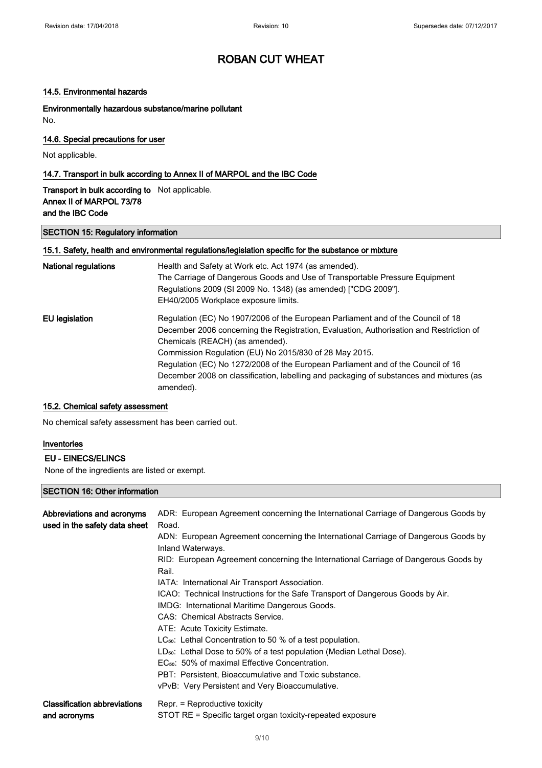#### 14.5. Environmental hazards

Environmentally hazardous substance/marine pollutant No.

### 14.6. Special precautions for user

Not applicable.

### 14.7. Transport in bulk according to Annex II of MARPOL and the IBC Code

### Transport in bulk according to Not applicable. Annex II of MARPOL 73/78 and the IBC Code

#### SECTION 15: Regulatory information

#### 15.1. Safety, health and environmental regulations/legislation specific for the substance or mixture

| National regulations | Health and Safety at Work etc. Act 1974 (as amended).<br>The Carriage of Dangerous Goods and Use of Transportable Pressure Equipment<br>Regulations 2009 (SI 2009 No. 1348) (as amended) ["CDG 2009"].<br>EH40/2005 Workplace exposure limits. |
|----------------------|------------------------------------------------------------------------------------------------------------------------------------------------------------------------------------------------------------------------------------------------|
| EU legislation       | Regulation (EC) No 1907/2006 of the European Parliament and of the Council of 18<br>December 2006 concerning the Registration, Evaluation, Authorisation and Restriction of<br>Chemicals (REACH) (as amended).                                 |
|                      | Commission Regulation (EU) No 2015/830 of 28 May 2015.                                                                                                                                                                                         |
|                      | Regulation (EC) No 1272/2008 of the European Parliament and of the Council of 16                                                                                                                                                               |
|                      | December 2008 on classification, labelling and packaging of substances and mixtures (as<br>amended).                                                                                                                                           |

### 15.2. Chemical safety assessment

No chemical safety assessment has been carried out.

### Inventories

#### EU - EINECS/ELINCS

None of the ingredients are listed or exempt.

## SECTION 16: Other information

| Abbreviations and acronyms<br>used in the safety data sheet | ADR: European Agreement concerning the International Carriage of Dangerous Goods by<br>Road.<br>ADN: European Agreement concerning the International Carriage of Dangerous Goods by<br>Inland Waterways.<br>RID: European Agreement concerning the International Carriage of Dangerous Goods by<br>Rail.<br>IATA: International Air Transport Association.<br>ICAO: Technical Instructions for the Safe Transport of Dangerous Goods by Air.<br>IMDG: International Maritime Dangerous Goods.<br>CAS: Chemical Abstracts Service.<br>ATE: Acute Toxicity Estimate.<br>$LC_{50}$ : Lethal Concentration to 50 % of a test population.<br>$LD_{50}$ : Lethal Dose to 50% of a test population (Median Lethal Dose).<br>EC <sub>50</sub> : 50% of maximal Effective Concentration.<br>PBT: Persistent, Bioaccumulative and Toxic substance.<br>vPvB: Very Persistent and Very Bioaccumulative. |
|-------------------------------------------------------------|---------------------------------------------------------------------------------------------------------------------------------------------------------------------------------------------------------------------------------------------------------------------------------------------------------------------------------------------------------------------------------------------------------------------------------------------------------------------------------------------------------------------------------------------------------------------------------------------------------------------------------------------------------------------------------------------------------------------------------------------------------------------------------------------------------------------------------------------------------------------------------------------|
| <b>Classification abbreviations</b>                         | Repr. = Reproductive toxicity                                                                                                                                                                                                                                                                                                                                                                                                                                                                                                                                                                                                                                                                                                                                                                                                                                                               |
| and acronyms                                                | STOT RE = Specific target organ toxicity-repeated exposure                                                                                                                                                                                                                                                                                                                                                                                                                                                                                                                                                                                                                                                                                                                                                                                                                                  |